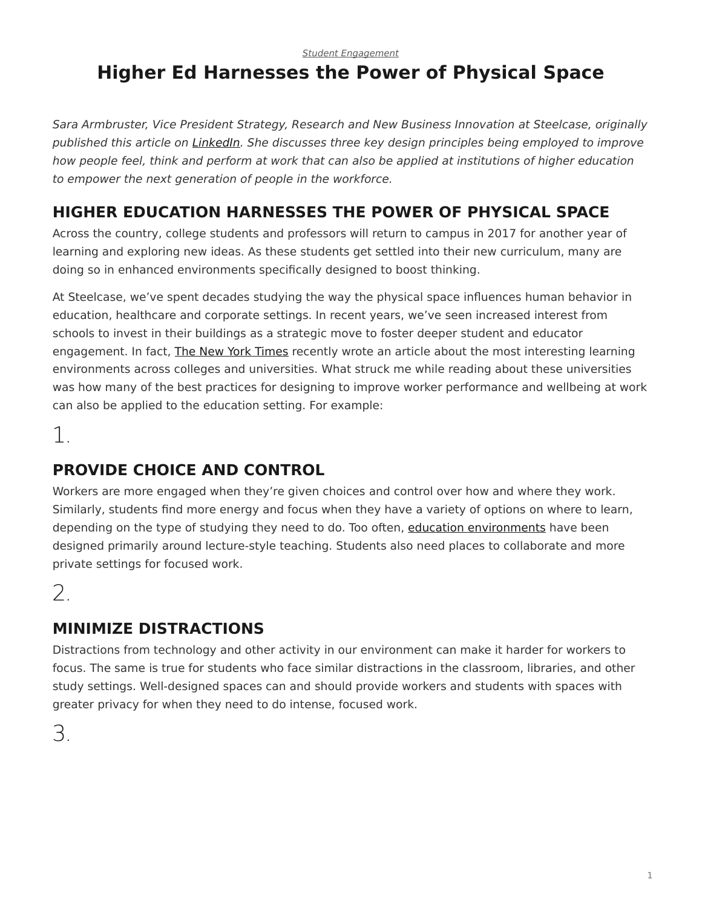#### *[Student Engagement](https://www.steelcase.com/research/topics/student-engagement/)*

# <span id="page-0-0"></span>**Higher Ed Harnesses the Power of Physical Space**

*Sara Armbruster, Vice President Strategy, Research and New Business Innovation at Steelcase, originally published this article on [LinkedIn.](https://www.linkedin.com/in/saraarmbruster) She discusses three key design principles being employed to improve how people feel, think and perform at work that can also be applied at institutions of higher education to empower the next generation of people in the workforce.*

### **HIGHER EDUCATION HARNESSES THE POWER OF PHYSICAL SPACE**

Across the country, college students and professors will return to campus in 2017 for another year of learning and exploring new ideas. As these students get settled into their new curriculum, many are doing so in enhanced environments specifically designed to boost thinking.

At Steelcase, we've spent decades studying the way the physical space influences human behavior in education, healthcare and corporate settings. In recent years, we've seen increased interest from schools to invest in their buildings as a strategic move to foster deeper student and educator engagement. In fact, [The New York Times](http://www.nytimes.com/2016/08/07/education/edlife/innovation-campus-entrepreneurship-engineering-arts.html?smprod=nytcore-ipad&smid=nytcore-ipad-share&_r=2) recently wrote an article about the most interesting learning environments across colleges and universities. What struck me while reading about these universities was how many of the best practices for designing to improve worker performance and wellbeing at work can also be applied to the education setting. For example:

1.

## **PROVIDE CHOICE AND CONTROL**

Workers are more engaged when they're given choices and control over how and where they work. Similarly, students find more energy and focus when they have a variety of options on where to learn, depending on the type of studying they need to do. Too often, [education environments](https://www.steelcase.com/discover/information/education/) have been designed primarily around lecture-style teaching. Students also need places to collaborate and more private settings for focused work.

2.

## **MINIMIZE DISTRACTIONS**

Distractions from technology and other activity in our environment can make it harder for workers to focus. The same is true for students who face similar distractions in the classroom, libraries, and other study settings. Well-designed spaces can and should provide workers and students with spaces with greater privacy for when they need to do intense, focused work.

3.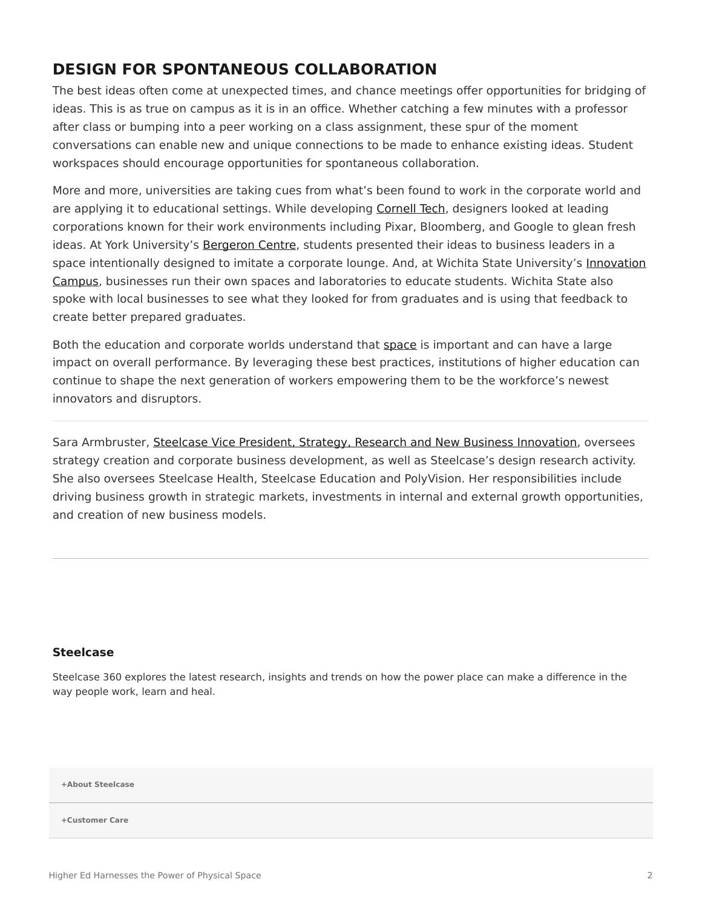#### **DESIGN FOR SPONTANEOUS COLLABORATION**

The best ideas often come at unexpected times, and chance meetings offer opportunities for bridging of ideas. This is as true on campus as it is in an office. Whether catching a few minutes with a professor after class or bumping into a peer working on a class assignment, these spur of the moment conversations can enable new and unique connections to be made to enhance existing ideas. Student workspaces should encourage opportunities for spontaneous collaboration.

More and more, universities are taking cues from what's been found to work in the corporate world and are applying it to educational settings. While developing [Cornell Tech](http://tech.cornell.edu/future-campus), designers looked at leading corporations known for their work environments including Pixar, Bloomberg, and Google to glean fresh ideas. At York University's [Bergeron Centre](http://thebergeroncentre.ca/), students presented their ideas to business leaders in a space intentionally designed to imitate a corporate lounge. And, at Wichita State University's [Innovation](http://vimeo.com/110931562) [Campus](http://vimeo.com/110931562), businesses run their own spaces and laboratories to educate students. Wichita State also spoke with local businesses to see what they looked for from graduates and is using that feedback to create better prepared graduates.

Both the education and corporate worlds understand that [space](https://www.steelcase.com/insights/articles/power-of-place/) is important and can have a large impact on overall performance. By leveraging these best practices, institutions of higher education can continue to shape the next generation of workers empowering them to be the workforce's newest innovators and disruptors.

Sara Armbruster, [Steelcase Vice President, Strategy, Research and New Business Innovation,](https://www.linkedin.com/pulse/higher-education-harnesses-power-physical-space-sara-armbruster?articleId=6199300992140484608) oversees strategy creation and corporate business development, as well as Steelcase's design research activity. She also oversees Steelcase Health, Steelcase Education and PolyVision. Her responsibilities include driving business growth in strategic markets, investments in internal and external growth opportunities, and creation of new business models.

#### **[Steelcase](https://www.steelcase.com/research/articles/author/steelcase-360/)**

Steelcase 360 explores the latest research, insights and trends on how the power place can make a difference in the way people work, learn and heal.

**[+About Steelcase](https://www.steelcase.com/discover/steelcase/our-company/)**

**[+Customer Care](#page-0-0)**